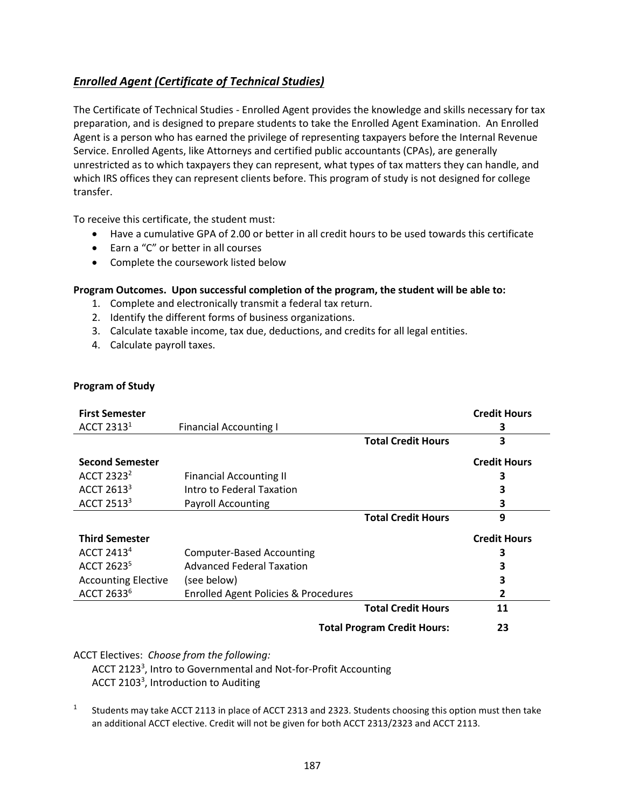## *Enrolled Agent (Certificate of Technical Studies)*

The Certificate of Technical Studies - Enrolled Agent provides the knowledge and skills necessary for tax preparation, and is designed to prepare students to take the Enrolled Agent Examination. An Enrolled Agent is a person who has earned the privilege of representing taxpayers before the Internal Revenue Service. Enrolled Agents, like Attorneys and certified public accountants (CPAs), are generally unrestricted as to which taxpayers they can represent, what types of tax matters they can handle, and which IRS offices they can represent clients before. This program of study is not designed for college transfer.

To receive this certificate, the student must:

- Have a cumulative GPA of 2.00 or better in all credit hours to be used towards this certificate
- Earn a "C" or better in all courses
- Complete the coursework listed below

## **Program Outcomes. Upon successful completion of the program, the student will be able to:**

- 1. Complete and electronically transmit a federal tax return.
- 2. Identify the different forms of business organizations.
- 3. Calculate taxable income, tax due, deductions, and credits for all legal entities.
- 4. Calculate payroll taxes.

|  | <b>Program of Study</b> |
|--|-------------------------|
|--|-------------------------|

| <b>First Semester</b>      |                                                 |                                    | <b>Credit Hours</b> |
|----------------------------|-------------------------------------------------|------------------------------------|---------------------|
| ACCT 2313 <sup>1</sup>     | <b>Financial Accounting I</b>                   |                                    | 3                   |
|                            |                                                 | <b>Total Credit Hours</b>          | 3                   |
| <b>Second Semester</b>     |                                                 |                                    | <b>Credit Hours</b> |
| ACCT 2323 <sup>2</sup>     | <b>Financial Accounting II</b>                  |                                    | 3                   |
| ACCT 2613 <sup>3</sup>     | Intro to Federal Taxation                       |                                    | 3                   |
| ACCT 2513 <sup>3</sup>     | <b>Payroll Accounting</b>                       |                                    | 3                   |
|                            |                                                 | <b>Total Credit Hours</b>          | 9                   |
| <b>Third Semester</b>      |                                                 |                                    | <b>Credit Hours</b> |
| ACCT 2413 $4$              | <b>Computer-Based Accounting</b>                |                                    | 3                   |
| ACCT 2623 <sup>5</sup>     | <b>Advanced Federal Taxation</b>                |                                    | 3                   |
| <b>Accounting Elective</b> | (see below)                                     |                                    | 3                   |
| ACCT 2633 <sup>6</sup>     | <b>Enrolled Agent Policies &amp; Procedures</b> |                                    | 2                   |
|                            |                                                 | <b>Total Credit Hours</b>          | 11                  |
|                            |                                                 | <b>Total Program Credit Hours:</b> | 23                  |

ACCT Electives: *Choose from the following:*

ACCT 2123<sup>3</sup>, Intro to Governmental and Not-for-Profit Accounting ACCT 2103<sup>3</sup>, Introduction to Auditing

1 Students may take ACCT 2113 in place of ACCT 2313 and 2323. Students choosing this option must then take an additional ACCT elective. Credit will not be given for both ACCT 2313/2323 and ACCT 2113.